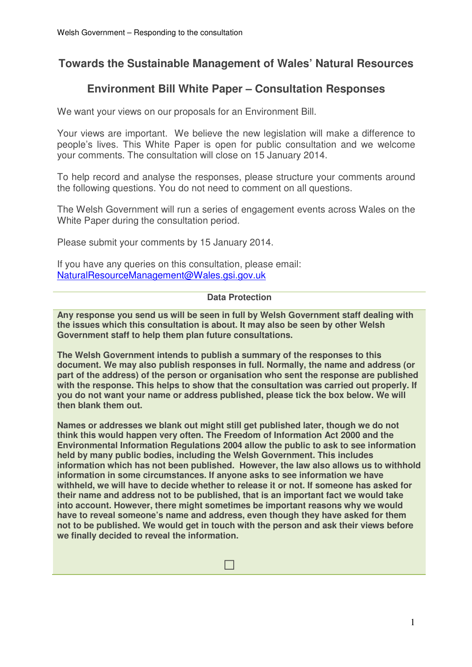# **Towards the Sustainable Management of Wales' Natural Resources**

# **Environment Bill White Paper – Consultation Responses**

We want your views on our proposals for an Environment Bill.

Your views are important. We believe the new legislation will make a difference to people's lives. This White Paper is open for public consultation and we welcome your comments. The consultation will close on 15 January 2014.

To help record and analyse the responses, please structure your comments around the following questions. You do not need to comment on all questions.

The Welsh Government will run a series of engagement events across Wales on the White Paper during the consultation period.

Please submit your comments by 15 January 2014.

If you have any queries on this consultation, please email: NaturalResourceManagement@Wales.gsi.gov.uk

## **Data Protection**

**Any response you send us will be seen in full by Welsh Government staff dealing with the issues which this consultation is about. It may also be seen by other Welsh Government staff to help them plan future consultations.** 

**The Welsh Government intends to publish a summary of the responses to this document. We may also publish responses in full. Normally, the name and address (or part of the address) of the person or organisation who sent the response are published with the response. This helps to show that the consultation was carried out properly. If you do not want your name or address published, please tick the box below. We will then blank them out.** 

**Names or addresses we blank out might still get published later, though we do not think this would happen very often. The Freedom of Information Act 2000 and the Environmental Information Regulations 2004 allow the public to ask to see information held by many public bodies, including the Welsh Government. This includes information which has not been published. However, the law also allows us to withhold information in some circumstances. If anyone asks to see information we have withheld, we will have to decide whether to release it or not. If someone has asked for their name and address not to be published, that is an important fact we would take into account. However, there might sometimes be important reasons why we would have to reveal someone's name and address, even though they have asked for them not to be published. We would get in touch with the person and ask their views before we finally decided to reveal the information.** 

□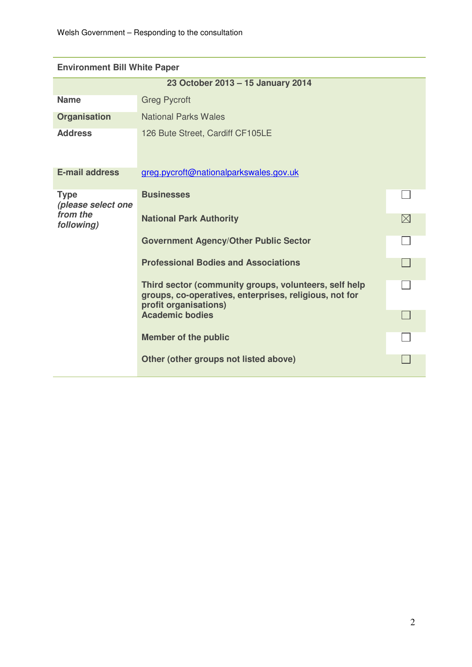| <b>Environment Bill White Paper</b> |                                                                                                                                          |             |
|-------------------------------------|------------------------------------------------------------------------------------------------------------------------------------------|-------------|
|                                     | 23 October 2013 - 15 January 2014                                                                                                        |             |
| <b>Name</b>                         | <b>Greg Pycroft</b>                                                                                                                      |             |
| <b>Organisation</b>                 | <b>National Parks Wales</b>                                                                                                              |             |
| <b>Address</b>                      | 126 Bute Street, Cardiff CF105LE                                                                                                         |             |
| <b>E-mail address</b>               | greg.pycroft@nationalparkswales.gov.uk                                                                                                   |             |
| <b>Type</b><br>(please select one   | <b>Businesses</b>                                                                                                                        |             |
| from the<br>following)              | <b>National Park Authority</b>                                                                                                           | $\boxtimes$ |
|                                     | <b>Government Agency/Other Public Sector</b>                                                                                             |             |
|                                     | <b>Professional Bodies and Associations</b>                                                                                              |             |
|                                     | Third sector (community groups, volunteers, self help<br>groups, co-operatives, enterprises, religious, not for<br>profit organisations) |             |
|                                     | <b>Academic bodies</b>                                                                                                                   |             |
|                                     | <b>Member of the public</b>                                                                                                              |             |
|                                     | Other (other groups not listed above)                                                                                                    |             |

# **Environment Bill White D**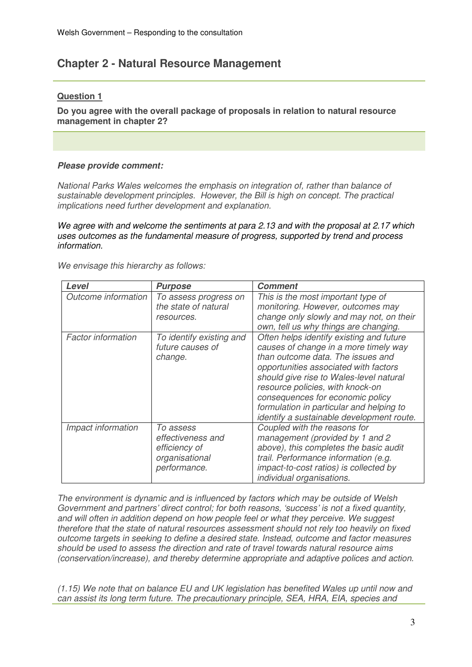# **Chapter 2 - Natural Resource Management**

## **Question 1**

**Do you agree with the overall package of proposals in relation to natural resource management in chapter 2?**

## **Please provide comment:**

National Parks Wales welcomes the emphasis on integration of, rather than balance of sustainable development principles. However, the Bill is high on concept. The practical implications need further development and explanation.

We agree with and welcome the sentiments at para 2.13 and with the proposal at 2.17 which uses outcomes as the fundamental measure of progress, supported by trend and process information.

We envisage this hierarchy as follows:

| Level                     | <b>Purpose</b>                                                                    | <b>Comment</b>                                                                                                                                                                                                                                                                                                                                                              |
|---------------------------|-----------------------------------------------------------------------------------|-----------------------------------------------------------------------------------------------------------------------------------------------------------------------------------------------------------------------------------------------------------------------------------------------------------------------------------------------------------------------------|
| Outcome information       | To assess progress on<br>the state of natural<br>resources.                       | This is the most important type of<br>monitoring. However, outcomes may<br>change only slowly and may not, on their<br>own, tell us why things are changing.                                                                                                                                                                                                                |
| <b>Factor information</b> | To identify existing and<br>future causes of<br>change.                           | Often helps identify existing and future<br>causes of change in a more timely way<br>than outcome data. The issues and<br>opportunities associated with factors<br>should give rise to Wales-level natural<br>resource policies, with knock-on<br>consequences for economic policy<br>formulation in particular and helping to<br>identify a sustainable development route. |
| Impact information        | To assess<br>effectiveness and<br>efficiency of<br>organisational<br>performance. | Coupled with the reasons for<br>management (provided by 1 and 2<br>above), this completes the basic audit<br>trail. Performance information (e.g.<br>impact-to-cost ratios) is collected by<br>individual organisations.                                                                                                                                                    |

The environment is dynamic and is influenced by factors which may be outside of Welsh Government and partners' direct control; for both reasons, 'success' is not a fixed quantity, and will often in addition depend on how people feel or what they perceive. We suggest therefore that the state of natural resources assessment should not rely too heavily on fixed outcome targets in seeking to define a desired state. Instead, outcome and factor measures should be used to assess the direction and rate of travel towards natural resource aims (conservation/increase), and thereby determine appropriate and adaptive polices and action.

(1.15) We note that on balance EU and UK legislation has benefited Wales up until now and can assist its long term future. The precautionary principle, SEA, HRA, EIA, species and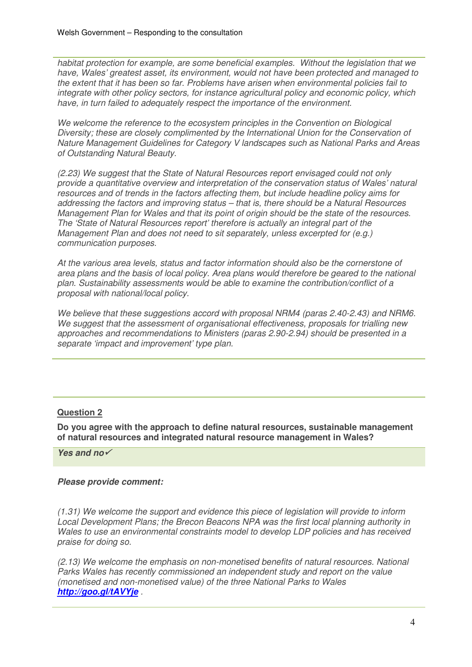habitat protection for example, are some beneficial examples. Without the legislation that we have, Wales' greatest asset, its environment, would not have been protected and managed to the extent that it has been so far. Problems have arisen when environmental policies fail to integrate with other policy sectors, for instance agricultural policy and economic policy, which have, in turn failed to adequately respect the importance of the environment.

We welcome the reference to the ecosystem principles in the Convention on Biological Diversity; these are closely complimented by the International Union for the Conservation of Nature Management Guidelines for Category V landscapes such as National Parks and Areas of Outstanding Natural Beauty.

(2.23) We suggest that the State of Natural Resources report envisaged could not only provide a quantitative overview and interpretation of the conservation status of Wales' natural resources and of trends in the factors affecting them, but include headline policy aims for addressing the factors and improving status – that is, there should be a Natural Resources Management Plan for Wales and that its point of origin should be the state of the resources. The 'State of Natural Resources report' therefore is actually an integral part of the Management Plan and does not need to sit separately, unless excerpted for (e.g.) communication purposes.

At the various area levels, status and factor information should also be the cornerstone of area plans and the basis of local policy. Area plans would therefore be geared to the national plan. Sustainability assessments would be able to examine the contribution/conflict of a proposal with national/local policy.

We believe that these suggestions accord with proposal NRM4 (paras 2.40-2.43) and NRM6. We suggest that the assessment of organisational effectiveness, proposals for trialling new approaches and recommendations to Ministers (paras 2.90-2.94) should be presented in a separate 'impact and improvement' type plan.

# **Question 2**

**Do you agree with the approach to define natural resources, sustainable management of natural resources and integrated natural resource management in Wales?**

**Yes and no**

## **Please provide comment:**

(1.31) We welcome the support and evidence this piece of legislation will provide to inform Local Development Plans; the Brecon Beacons NPA was the first local planning authority in Wales to use an environmental constraints model to develop LDP policies and has received praise for doing so.

(2.13) We welcome the emphasis on non-monetised benefits of natural resources. National Parks Wales has recently commissioned an independent study and report on the value (monetised and non-monetised value) of the three National Parks to Wales **http://goo.gl/tAVYje** .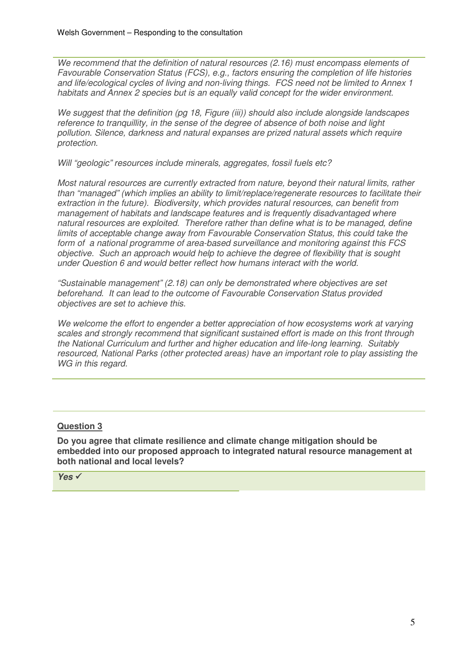We recommend that the definition of natural resources (2.16) must encompass elements of Favourable Conservation Status (FCS), e.g., factors ensuring the completion of life histories and life/ecological cycles of living and non-living things. FCS need not be limited to Annex 1 habitats and Annex 2 species but is an equally valid concept for the wider environment.

We suggest that the definition (pg 18, Figure (iii)) should also include alongside landscapes reference to tranquillity, in the sense of the degree of absence of both noise and light pollution. Silence, darkness and natural expanses are prized natural assets which require protection.

Will "geologic" resources include minerals, aggregates, fossil fuels etc?

Most natural resources are currently extracted from nature, beyond their natural limits, rather than "managed" (which implies an ability to limit/replace/regenerate resources to facilitate their extraction in the future). Biodiversity, which provides natural resources, can benefit from management of habitats and landscape features and is frequently disadvantaged where natural resources are exploited. Therefore rather than define what is to be managed, define limits of acceptable change away from Favourable Conservation Status, this could take the form of a national programme of area-based surveillance and monitoring against this FCS objective. Such an approach would help to achieve the degree of flexibility that is sought under Question 6 and would better reflect how humans interact with the world.

"Sustainable management" (2.18) can only be demonstrated where objectives are set beforehand. It can lead to the outcome of Favourable Conservation Status provided objectives are set to achieve this.

We welcome the effort to engender a better appreciation of how ecosystems work at varying scales and strongly recommend that significant sustained effort is made on this front through the National Curriculum and further and higher education and life-long learning. Suitably resourced, National Parks (other protected areas) have an important role to play assisting the WG in this regard.

## **Question 3**

**Do you agree that climate resilience and climate change mitigation should be embedded into our proposed approach to integrated natural resource management at both national and local levels?** 

**Yes**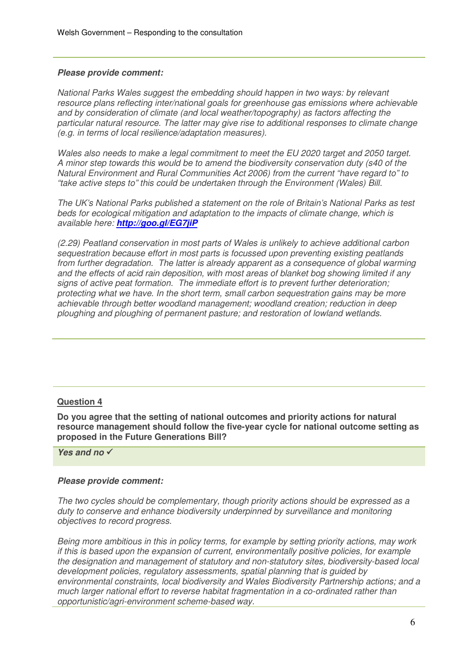#### **Please provide comment:**

National Parks Wales suggest the embedding should happen in two ways: by relevant resource plans reflecting inter/national goals for greenhouse gas emissions where achievable and by consideration of climate (and local weather/topography) as factors affecting the particular natural resource. The latter may give rise to additional responses to climate change (e.g. in terms of local resilience/adaptation measures).

Wales also needs to make a legal commitment to meet the EU 2020 target and 2050 target. A minor step towards this would be to amend the biodiversity conservation duty (s40 of the Natural Environment and Rural Communities Act 2006) from the current "have regard to" to "take active steps to" this could be undertaken through the Environment (Wales) Bill.

The UK's National Parks published a statement on the role of Britain's National Parks as test beds for ecological mitigation and adaptation to the impacts of climate change, which is available here: **http://goo.gl/EG7jiP**

(2.29) Peatland conservation in most parts of Wales is unlikely to achieve additional carbon sequestration because effort in most parts is focussed upon preventing existing peatlands from further degradation. The latter is already apparent as a consequence of global warming and the effects of acid rain deposition, with most areas of blanket bog showing limited if any signs of active peat formation. The immediate effort is to prevent further deterioration; protecting what we have. In the short term, small carbon sequestration gains may be more achievable through better woodland management; woodland creation; reduction in deep ploughing and ploughing of permanent pasture; and restoration of lowland wetlands.

## **Question 4**

**Do you agree that the setting of national outcomes and priority actions for natural resource management should follow the five-year cycle for national outcome setting as proposed in the Future Generations Bill?**

**Yes and no**

#### **Please provide comment:**

The two cycles should be complementary, though priority actions should be expressed as a duty to conserve and enhance biodiversity underpinned by surveillance and monitoring objectives to record progress.

Being more ambitious in this in policy terms, for example by setting priority actions, may work if this is based upon the expansion of current, environmentally positive policies, for example the designation and management of statutory and non-statutory sites, biodiversity-based local development policies, regulatory assessments, spatial planning that is guided by environmental constraints, local biodiversity and Wales Biodiversity Partnership actions; and a much larger national effort to reverse habitat fragmentation in a co-ordinated rather than opportunistic/agri-environment scheme-based way.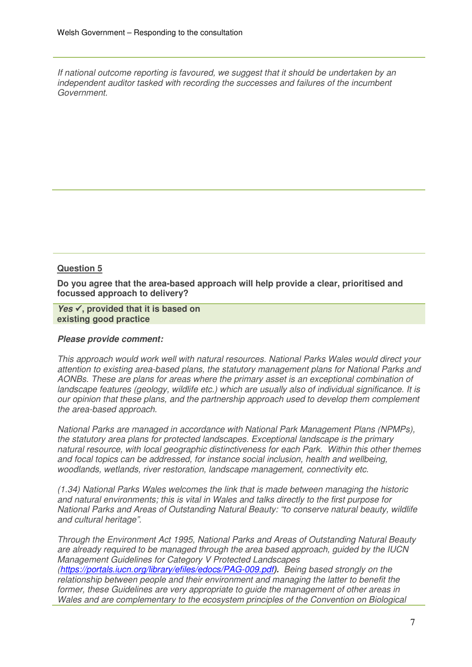If national outcome reporting is favoured, we suggest that it should be undertaken by an independent auditor tasked with recording the successes and failures of the incumbent Government.

#### **Question 5**

**Do you agree that the area-based approach will help provide a clear, prioritised and focussed approach to delivery?** 

**Yes √, provided that it is based on existing good practice** 

#### **Please provide comment:**

This approach would work well with natural resources. National Parks Wales would direct your attention to existing area-based plans, the statutory management plans for National Parks and AONBs. These are plans for areas where the primary asset is an exceptional combination of landscape features (geology, wildlife etc.) which are usually also of individual significance. It is our opinion that these plans, and the partnership approach used to develop them complement the area-based approach.

National Parks are managed in accordance with National Park Management Plans (NPMPs), the statutory area plans for protected landscapes. Exceptional landscape is the primary natural resource, with local geographic distinctiveness for each Park. Within this other themes and focal topics can be addressed, for instance social inclusion, health and wellbeing, woodlands, wetlands, river restoration, landscape management, connectivity etc.

(1.34) National Parks Wales welcomes the link that is made between managing the historic and natural environments; this is vital in Wales and talks directly to the first purpose for National Parks and Areas of Outstanding Natural Beauty: "to conserve natural beauty, wildlife and cultural heritage".

Through the Environment Act 1995, National Parks and Areas of Outstanding Natural Beauty are already required to be managed through the area based approach, guided by the IUCN Management Guidelines for Category V Protected Landscapes (https://portals.iucn.org/library/efiles/edocs/PAG-009.pdf**).** Being based strongly on the relationship between people and their environment and managing the latter to benefit the former, these Guidelines are very appropriate to guide the management of other areas in Wales and are complementary to the ecosystem principles of the Convention on Biological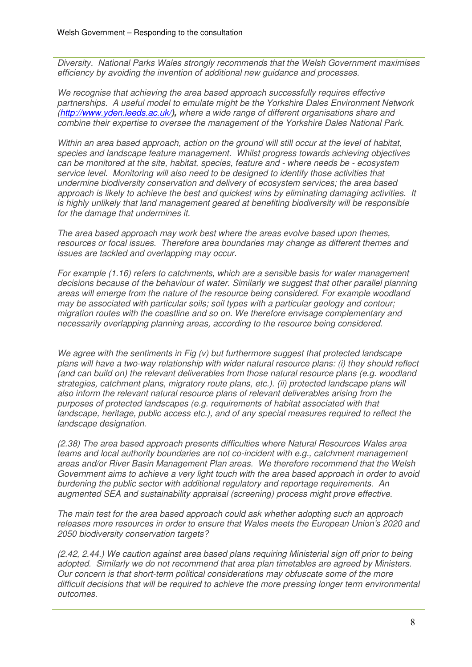Diversity. National Parks Wales strongly recommends that the Welsh Government maximises efficiency by avoiding the invention of additional new guidance and processes.

We recognise that achieving the area based approach successfully requires effective partnerships. A useful model to emulate might be the Yorkshire Dales Environment Network (http://www.yden.leeds.ac.uk/**),** where a wide range of different organisations share and combine their expertise to oversee the management of the Yorkshire Dales National Park.

Within an area based approach, action on the ground will still occur at the level of habitat, species and landscape feature management. Whilst progress towards achieving objectives can be monitored at the site, habitat, species, feature and - where needs be - ecosystem service level. Monitoring will also need to be designed to identify those activities that undermine biodiversity conservation and delivery of ecosystem services; the area based approach is likely to achieve the best and quickest wins by eliminating damaging activities. It is highly unlikely that land management geared at benefiting biodiversity will be responsible for the damage that undermines it.

The area based approach may work best where the areas evolve based upon themes, resources or focal issues. Therefore area boundaries may change as different themes and issues are tackled and overlapping may occur.

For example (1.16) refers to catchments, which are a sensible basis for water management decisions because of the behaviour of water. Similarly we suggest that other parallel planning areas will emerge from the nature of the resource being considered. For example woodland may be associated with particular soils; soil types with a particular geology and contour; migration routes with the coastline and so on. We therefore envisage complementary and necessarily overlapping planning areas, according to the resource being considered.

We agree with the sentiments in Fig (v) but furthermore suggest that protected landscape plans will have a two-way relationship with wider natural resource plans: (i) they should reflect (and can build on) the relevant deliverables from those natural resource plans (e.g. woodland strategies, catchment plans, migratory route plans, etc.). (ii) protected landscape plans will also inform the relevant natural resource plans of relevant deliverables arising from the purposes of protected landscapes (e.g. requirements of habitat associated with that landscape, heritage, public access etc.), and of any special measures required to reflect the landscape designation.

(2.38) The area based approach presents difficulties where Natural Resources Wales area teams and local authority boundaries are not co-incident with e.g., catchment management areas and/or River Basin Management Plan areas. We therefore recommend that the Welsh Government aims to achieve a very light touch with the area based approach in order to avoid burdening the public sector with additional regulatory and reportage requirements. An augmented SEA and sustainability appraisal (screening) process might prove effective.

The main test for the area based approach could ask whether adopting such an approach releases more resources in order to ensure that Wales meets the European Union's 2020 and 2050 biodiversity conservation targets?

(2.42, 2.44.) We caution against area based plans requiring Ministerial sign off prior to being adopted. Similarly we do not recommend that area plan timetables are agreed by Ministers. Our concern is that short-term political considerations may obfuscate some of the more difficult decisions that will be required to achieve the more pressing longer term environmental outcomes.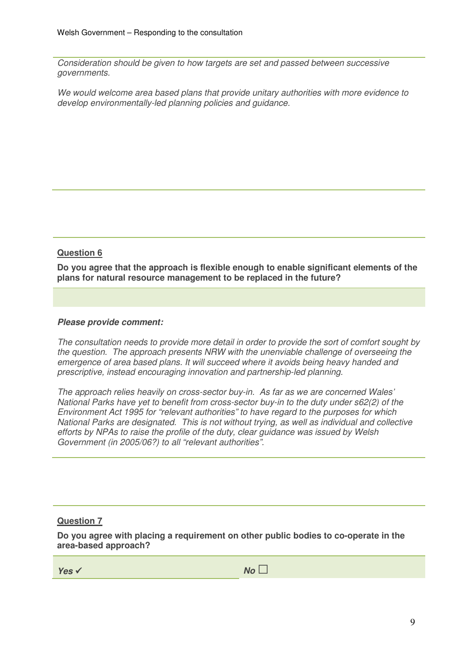Consideration should be given to how targets are set and passed between successive governments.

We would welcome area based plans that provide unitary authorities with more evidence to develop environmentally-led planning policies and guidance.

# **Question 6**

**Do you agree that the approach is flexible enough to enable significant elements of the plans for natural resource management to be replaced in the future?** 

#### **Please provide comment:**

The consultation needs to provide more detail in order to provide the sort of comfort sought by the question. The approach presents NRW with the unenviable challenge of overseeing the emergence of area based plans. It will succeed where it avoids being heavy handed and prescriptive, instead encouraging innovation and partnership-led planning.

The approach relies heavily on cross-sector buy-in. As far as we are concerned Wales' National Parks have yet to benefit from cross-sector buy-in to the duty under s62(2) of the Environment Act 1995 for "relevant authorities" to have regard to the purposes for which National Parks are designated. This is not without trying, as well as individual and collective efforts by NPAs to raise the profile of the duty, clear guidance was issued by Welsh Government (in 2005/06?) to all "relevant authorities".

#### **Question 7**

**Do you agree with placing a requirement on other public bodies to co-operate in the area-based approach?** 

**Yes No** □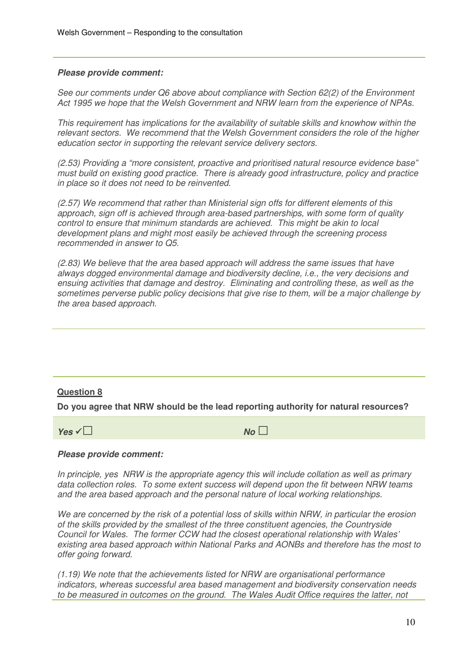#### **Please provide comment:**

See our comments under Q6 above about compliance with Section 62(2) of the Environment Act 1995 we hope that the Welsh Government and NRW learn from the experience of NPAs.

This requirement has implications for the availability of suitable skills and knowhow within the relevant sectors. We recommend that the Welsh Government considers the role of the higher education sector in supporting the relevant service delivery sectors.

(2.53) Providing a "more consistent, proactive and prioritised natural resource evidence base" must build on existing good practice. There is already good infrastructure, policy and practice in place so it does not need to be reinvented.

(2.57) We recommend that rather than Ministerial sign offs for different elements of this approach, sign off is achieved through area-based partnerships, with some form of quality control to ensure that minimum standards are achieved. This might be akin to local development plans and might most easily be achieved through the screening process recommended in answer to Q5.

(2.83) We believe that the area based approach will address the same issues that have always dogged environmental damage and biodiversity decline, i.e., the very decisions and ensuing activities that damage and destroy. Eliminating and controlling these, as well as the sometimes perverse public policy decisions that give rise to them, will be a major challenge by the area based approach.

## **Question 8**

**Do you agree that NRW should be the lead reporting authority for natural resources?** 

**Yes** □ **No** □

#### **Please provide comment:**

In principle, yes NRW is the appropriate agency this will include collation as well as primary data collection roles. To some extent success will depend upon the fit between NRW teams and the area based approach and the personal nature of local working relationships.

We are concerned by the risk of a potential loss of skills within NRW, in particular the erosion of the skills provided by the smallest of the three constituent agencies, the Countryside Council for Wales. The former CCW had the closest operational relationship with Wales' existing area based approach within National Parks and AONBs and therefore has the most to offer going forward.

(1.19) We note that the achievements listed for NRW are organisational performance indicators, whereas successful area based management and biodiversity conservation needs to be measured in outcomes on the ground. The Wales Audit Office requires the latter, not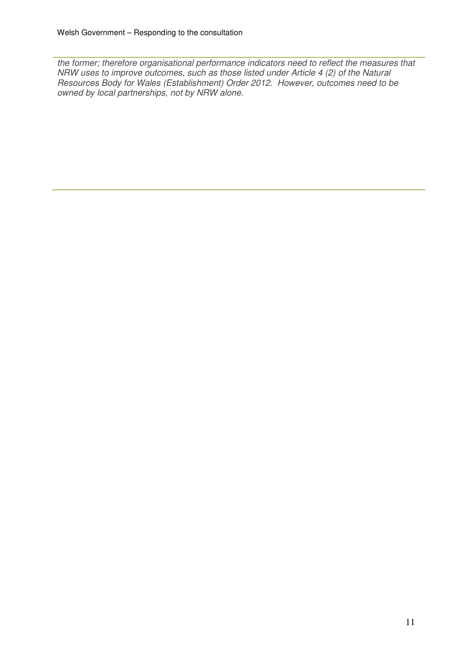the former; therefore organisational performance indicators need to reflect the measures that NRW uses to improve outcomes, such as those listed under Article 4 (2) of the Natural Resources Body for Wales (Establishment) Order 2012. However, outcomes need to be owned by local partnerships, not by NRW alone.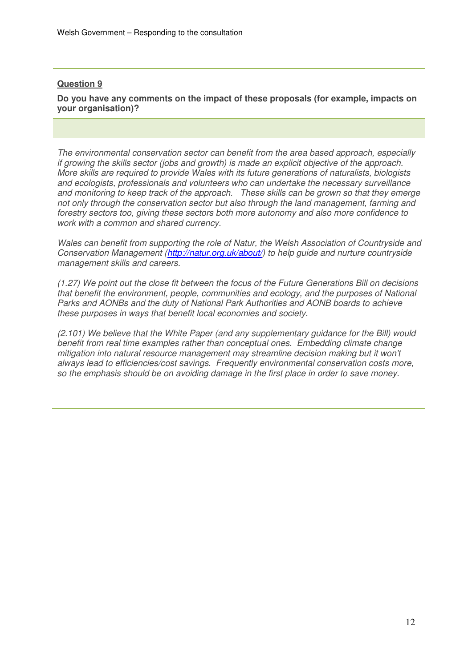**Do you have any comments on the impact of these proposals (for example, impacts on your organisation)?** 

The environmental conservation sector can benefit from the area based approach, especially if growing the skills sector (jobs and growth) is made an explicit objective of the approach. More skills are required to provide Wales with its future generations of naturalists, biologists and ecologists, professionals and volunteers who can undertake the necessary surveillance and monitoring to keep track of the approach. These skills can be grown so that they emerge not only through the conservation sector but also through the land management, farming and forestry sectors too, giving these sectors both more autonomy and also more confidence to work with a common and shared currency.

Wales can benefit from supporting the role of Natur, the Welsh Association of Countryside and Conservation Management (http://natur.org.uk/about/) to help quide and nurture countryside management skills and careers.

(1.27) We point out the close fit between the focus of the Future Generations Bill on decisions that benefit the environment, people, communities and ecology, and the purposes of National Parks and AONBs and the duty of National Park Authorities and AONB boards to achieve these purposes in ways that benefit local economies and society.

(2.101) We believe that the White Paper (and any supplementary guidance for the Bill) would benefit from real time examples rather than conceptual ones. Embedding climate change mitigation into natural resource management may streamline decision making but it won't always lead to efficiencies/cost savings. Frequently environmental conservation costs more, so the emphasis should be on avoiding damage in the first place in order to save money.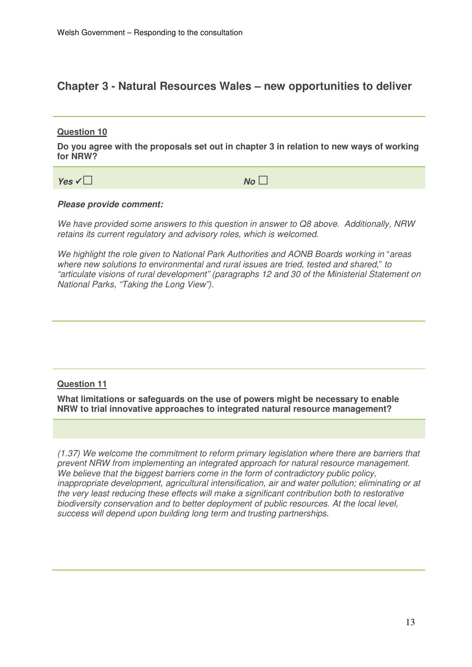# **Chapter 3 - Natural Resources Wales – new opportunities to deliver**

## **Question 10**

**Do you agree with the proposals set out in chapter 3 in relation to new ways of working for NRW?** 

**Yes** □ **No** □

#### **Please provide comment:**

We have provided some answers to this question in answer to Q8 above. Additionally, NRW retains its current regulatory and advisory roles, which is welcomed.

We highlight the role given to National Park Authorities and AONB Boards working in "areas where new solutions to environmental and rural issues are tried, tested and shared," to "articulate visions of rural development" (paragraphs 12 and 30 of the Ministerial Statement on National Parks, "Taking the Long View").

## **Question 11**

**What limitations or safeguards on the use of powers might be necessary to enable NRW to trial innovative approaches to integrated natural resource management?** 

(1.37) We welcome the commitment to reform primary legislation where there are barriers that prevent NRW from implementing an integrated approach for natural resource management. We believe that the biggest barriers come in the form of contradictory public policy, inappropriate development, agricultural intensification, air and water pollution; eliminating or at the very least reducing these effects will make a significant contribution both to restorative biodiversity conservation and to better deployment of public resources. At the local level, success will depend upon building long term and trusting partnerships.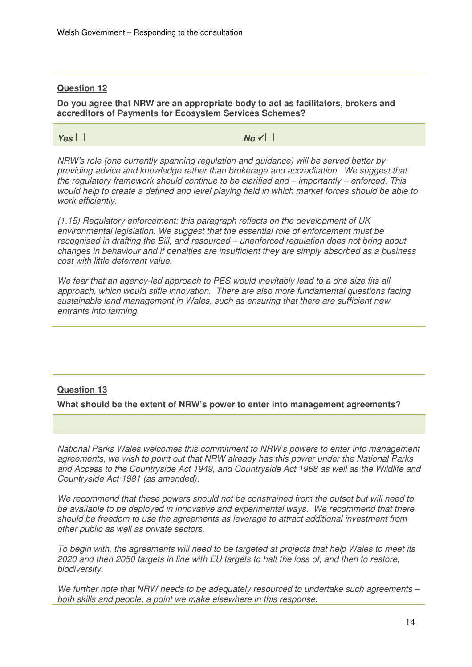**Do you agree that NRW are an appropriate body to act as facilitators, brokers and accreditors of Payments for Ecosystem Services Schemes?** 

**Yes**□ **No** □

NRW's role (one currently spanning regulation and guidance) will be served better by providing advice and knowledge rather than brokerage and accreditation. We suggest that the regulatory framework should continue to be clarified and – importantly – enforced. This would help to create a defined and level playing field in which market forces should be able to work efficiently.

(1.15) Regulatory enforcement: this paragraph reflects on the development of UK environmental legislation. We suggest that the essential role of enforcement must be recognised in drafting the Bill, and resourced – unenforced regulation does not bring about changes in behaviour and if penalties are insufficient they are simply absorbed as a business cost with little deterrent value.

We fear that an agency-led approach to PES would inevitably lead to a one size fits all approach, which would stifle innovation. There are also more fundamental questions facing sustainable land management in Wales, such as ensuring that there are sufficient new entrants into farming.

## **Question 13**

**What should be the extent of NRW's power to enter into management agreements?** 

National Parks Wales welcomes this commitment to NRW's powers to enter into management agreements, we wish to point out that NRW already has this power under the National Parks and Access to the Countryside Act 1949, and Countryside Act 1968 as well as the Wildlife and Countryside Act 1981 (as amended).

We recommend that these powers should not be constrained from the outset but will need to be available to be deployed in innovative and experimental ways. We recommend that there should be freedom to use the agreements as leverage to attract additional investment from other public as well as private sectors.

To begin with, the agreements will need to be targeted at projects that help Wales to meet its 2020 and then 2050 targets in line with EU targets to halt the loss of, and then to restore, biodiversity.

We further note that NRW needs to be adequately resourced to undertake such agreements – both skills and people, a point we make elsewhere in this response.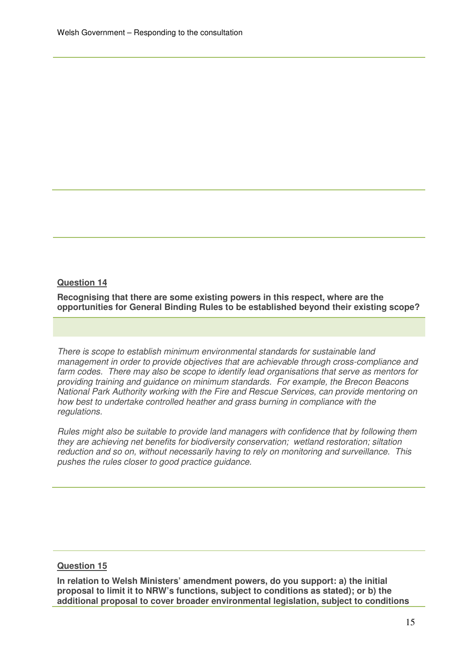**Recognising that there are some existing powers in this respect, where are the opportunities for General Binding Rules to be established beyond their existing scope?** 

There is scope to establish minimum environmental standards for sustainable land management in order to provide objectives that are achievable through cross-compliance and farm codes. There may also be scope to identify lead organisations that serve as mentors for providing training and guidance on minimum standards. For example, the Brecon Beacons National Park Authority working with the Fire and Rescue Services, can provide mentoring on how best to undertake controlled heather and grass burning in compliance with the regulations.

Rules might also be suitable to provide land managers with confidence that by following them they are achieving net benefits for biodiversity conservation; wetland restoration; siltation reduction and so on, without necessarily having to rely on monitoring and surveillance. This pushes the rules closer to good practice guidance.

#### **Question 15**

**In relation to Welsh Ministers' amendment powers, do you support: a) the initial proposal to limit it to NRW's functions, subject to conditions as stated); or b) the additional proposal to cover broader environmental legislation, subject to conditions**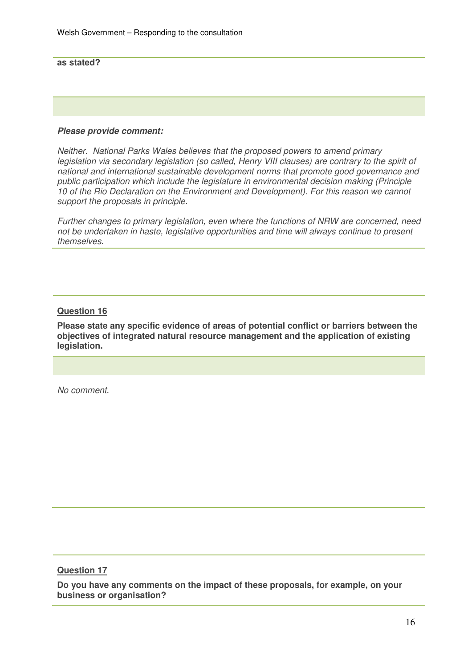**as stated?** 

#### **Please provide comment:**

Neither. National Parks Wales believes that the proposed powers to amend primary legislation via secondary legislation (so called, Henry VIII clauses) are contrary to the spirit of national and international sustainable development norms that promote good governance and public participation which include the legislature in environmental decision making (Principle 10 of the Rio Declaration on the Environment and Development). For this reason we cannot support the proposals in principle.

Further changes to primary legislation, even where the functions of NRW are concerned, need not be undertaken in haste, legislative opportunities and time will always continue to present themselves.

## **Question 16**

**Please state any specific evidence of areas of potential conflict or barriers between the objectives of integrated natural resource management and the application of existing legislation.** 

No comment.

## **Question 17**

**Do you have any comments on the impact of these proposals, for example, on your business or organisation?**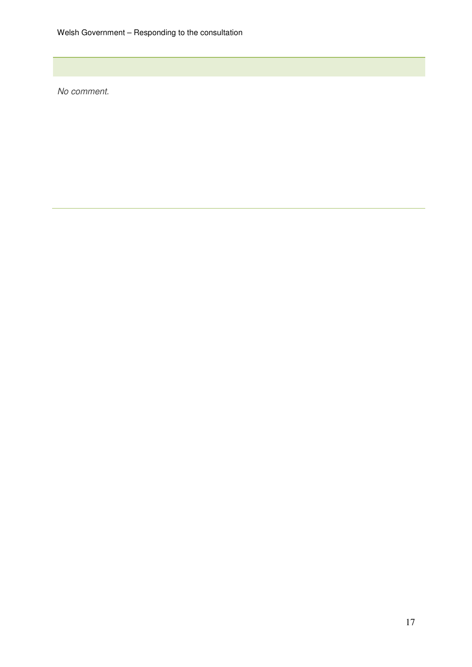No comment.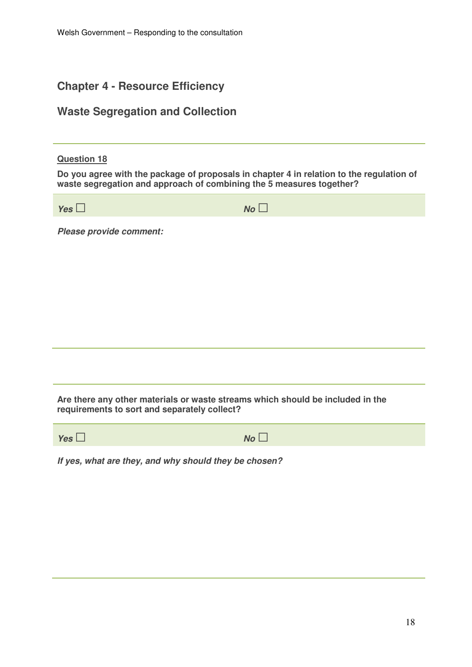# **Chapter 4 - Resource Efficiency**

# **Waste Segregation and Collection**

#### **Question 18**

**Do you agree with the package of proposals in chapter 4 in relation to the regulation of waste segregation and approach of combining the 5 measures together?** 

| Yes $\Box$              | No |
|-------------------------|----|
| Please provide comment: |    |
|                         |    |
|                         |    |
|                         |    |
|                         |    |

**Are there any other materials or waste streams which should be included in the requirements to sort and separately collect?** 

| Yes $\Box$ | $\overline{\phantom{0}}$<br>$No \Box$ |
|------------|---------------------------------------|
|            |                                       |

**If yes, what are they, and why should they be chosen?**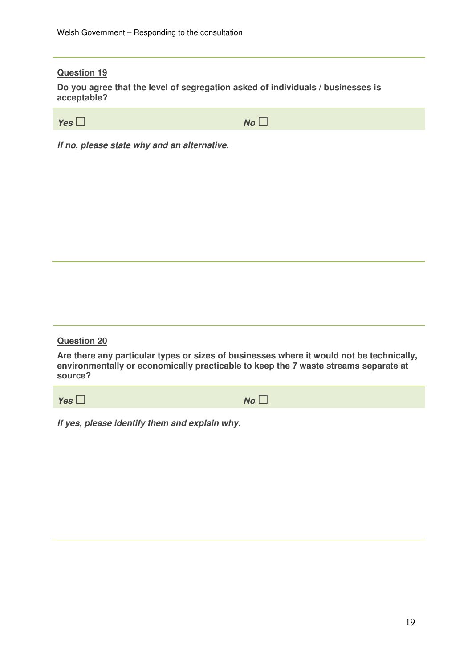**Do you agree that the level of segregation asked of individuals / businesses is acceptable?** 

| Yes $\square$ | $No$ $\Box$ |
|---------------|-------------|

**If no, please state why and an alternative.** 

**Question 20** 

**Are there any particular types or sizes of businesses where it would not be technically, environmentally or economically practicable to keep the 7 waste streams separate at source?** 

**Yes**□ **No** □

**If yes, please identify them and explain why.**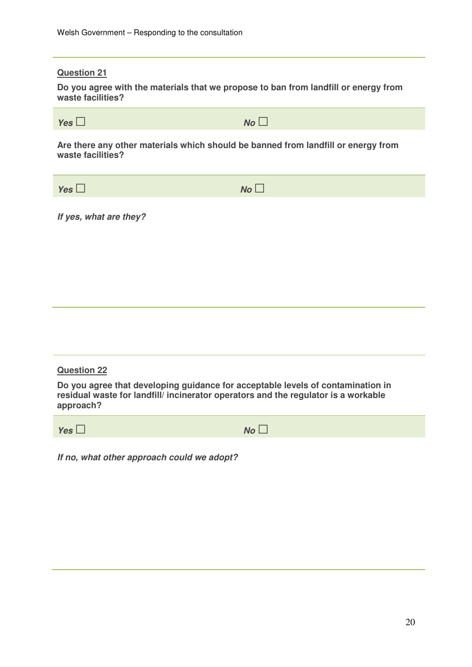**Do you agree with the materials that we propose to ban from landfill or energy from waste facilities?** 

| Yes $\square$ | $No$ $\Box$ |
|---------------|-------------|

**Are there any other materials which should be banned from landfill or energy from waste facilities?** 

**Yes** □ **No** □

**If yes, what are they?** 

| <b>Question 22</b>                                                                                                                                                                 |       |
|------------------------------------------------------------------------------------------------------------------------------------------------------------------------------------|-------|
| Do you agree that developing guidance for acceptable levels of contamination in<br>residual waste for landfill/ incinerator operators and the regulator is a workable<br>approach? |       |
| Yes                                                                                                                                                                                | $N_O$ |
|                                                                                                                                                                                    |       |

**If no, what other approach could we adopt?**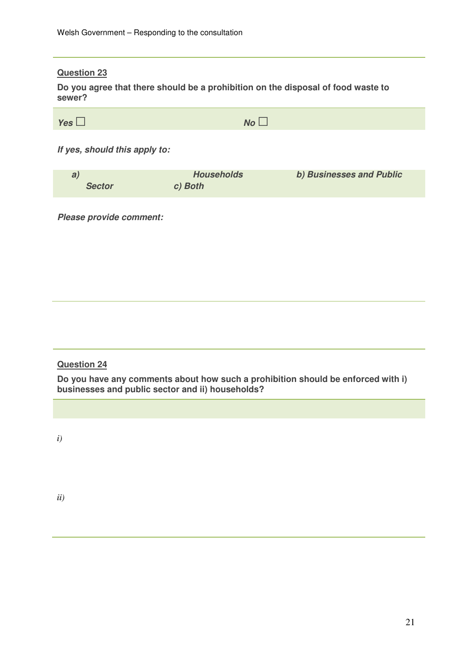**Do you agree that there should be a prohibition on the disposal of food waste to sewer?** 

| $\overline{\phantom{0}}$ |             |
|--------------------------|-------------|
| Yes $\Box$               | $No$ $\Box$ |

**If yes, should this apply to:** 

| a             | <b>Households</b> | b) Businesses and Public |
|---------------|-------------------|--------------------------|
| <b>Sector</b> | c) Both           |                          |

**Please provide comment:** 

## **Question 24**

**Do you have any comments about how such a prohibition should be enforced with i) businesses and public sector and ii) households?** 

*i)*

*ii)*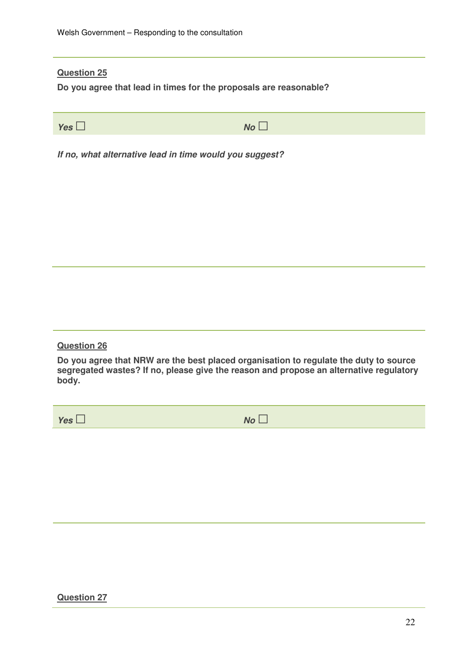**Do you agree that lead in times for the proposals are reasonable?** 

**Yes**□ **No** □

**If no, what alternative lead in time would you suggest?** 

# **Question 26**

**Do you agree that NRW are the best placed organisation to regulate the duty to source segregated wastes? If no, please give the reason and propose an alternative regulatory body.** 

**Yes**□ **No** □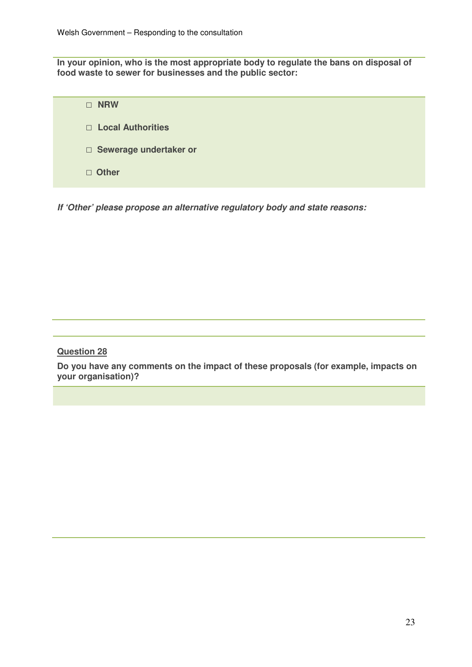**In your opinion, who is the most appropriate body to regulate the bans on disposal of food waste to sewer for businesses and the public sector:** 

| <b>NRW</b>                    |
|-------------------------------|
| $\Box$ Local Authorities      |
| $\Box$ Sewerage undertaker or |
| $\Box$ Other                  |

**If 'Other' please propose an alternative regulatory body and state reasons:** 

## **Question 28**

**Do you have any comments on the impact of these proposals (for example, impacts on your organisation)?**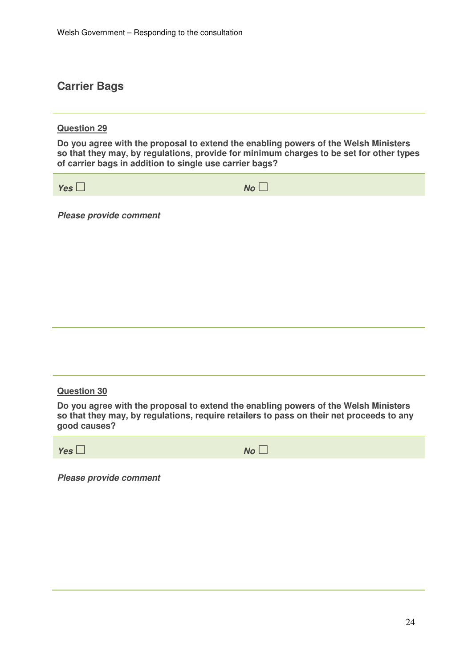# **Carrier Bags**

## **Question 29**

**Do you agree with the proposal to extend the enabling powers of the Welsh Ministers so that they may, by regulations, provide for minimum charges to be set for other types of carrier bags in addition to single use carrier bags?** 

**Yes**□ **No** □

**Please provide comment** 

#### **Question 30**

**Do you agree with the proposal to extend the enabling powers of the Welsh Ministers so that they may, by regulations, require retailers to pass on their net proceeds to any good causes?** 

**Yes**□ **No** □

**Please provide comment**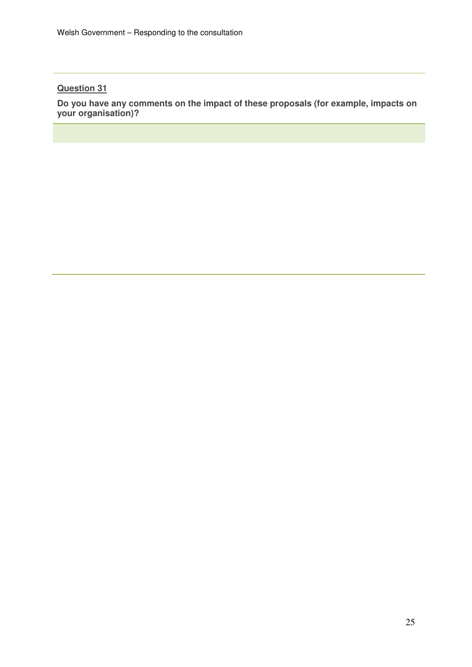**Do you have any comments on the impact of these proposals (for example, impacts on your organisation)?**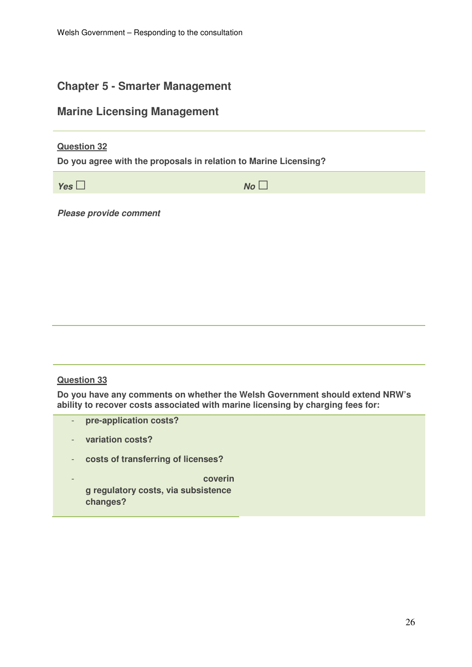# **Chapter 5 - Smarter Management**

# **Marine Licensing Management**

## **Question 32**

**Do you agree with the proposals in relation to Marine Licensing?** 

**Yes**□ **No** □

**Please provide comment** 

# **Question 33**

**Do you have any comments on whether the Welsh Government should extend NRW's ability to recover costs associated with marine licensing by charging fees for:** 

- **pre-application costs?**
- **variation costs?**
- **costs of transferring of licenses?**
- **coverin g regulatory costs, via subsistence changes?**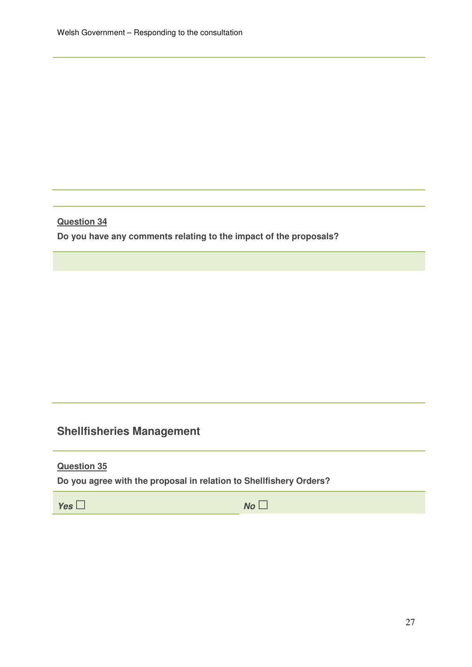**Do you have any comments relating to the impact of the proposals?** 

# **Shellfisheries Management**

**Question 35** 

**Do you agree with the proposal in relation to Shellfishery Orders?** 

**Yes**□ **No** □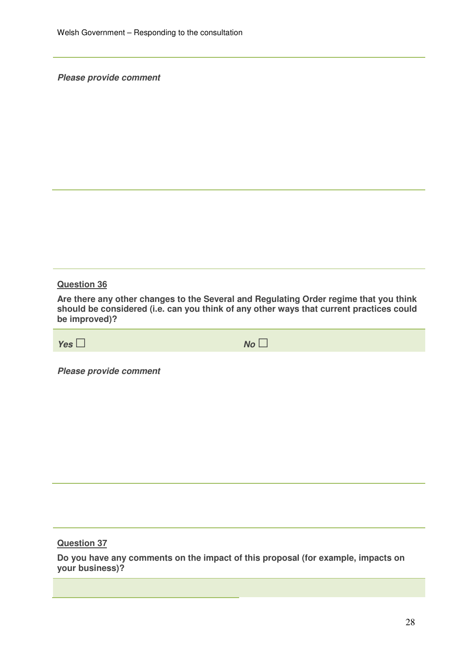**Please provide comment** 

#### **Question 36**

**Are there any other changes to the Several and Regulating Order regime that you think should be considered (i.e. can you think of any other ways that current practices could be improved)?** 

**Yes**□ **No** □

**Please provide comment** 

**Question 37** 

**Do you have any comments on the impact of this proposal (for example, impacts on your business)?**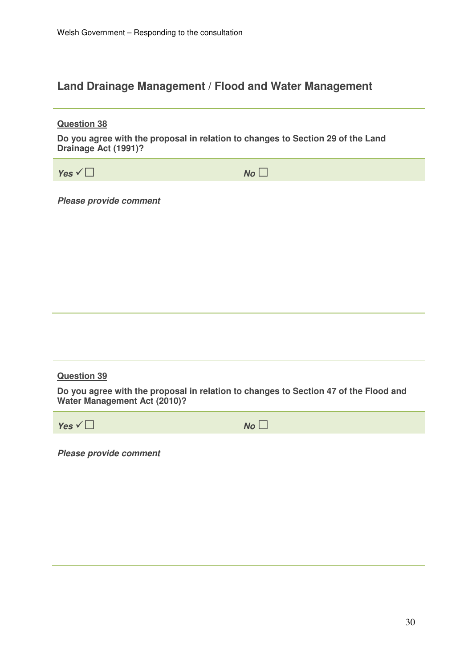# **Land Drainage Management / Flood and Water Management**

| <b>Question 38</b><br>Do you agree with the proposal in relation to changes to Section 29 of the Land<br>Drainage Act (1991)? |    |  |
|-------------------------------------------------------------------------------------------------------------------------------|----|--|
| Yes $\sqrt{\Box}$                                                                                                             | No |  |
| <b>Please provide comment</b>                                                                                                 |    |  |
| <b>Question 39</b>                                                                                                            |    |  |
| Do you agree with the proposal in relation to changes to Section 47 of the Flood and<br><b>Water Management Act (2010)?</b>   |    |  |
| Yes $\vee$                                                                                                                    | No |  |
| <b>Please provide comment</b>                                                                                                 |    |  |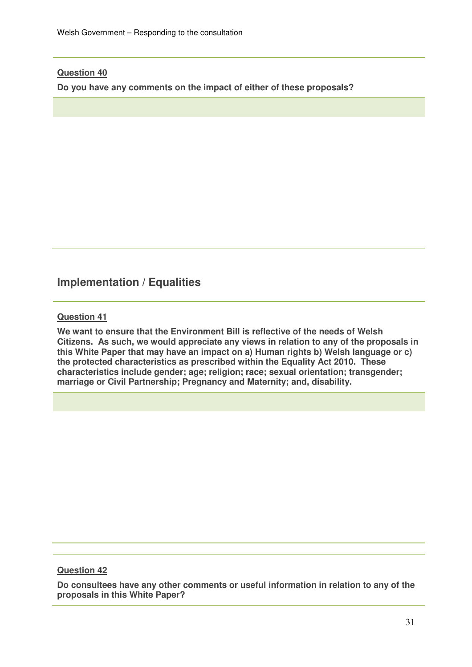**Do you have any comments on the impact of either of these proposals?** 

# **Implementation / Equalities**

# **Question 41**

**We want to ensure that the Environment Bill is reflective of the needs of Welsh Citizens. As such, we would appreciate any views in relation to any of the proposals in this White Paper that may have an impact on a) Human rights b) Welsh language or c) the protected characteristics as prescribed within the Equality Act 2010. These characteristics include gender; age; religion; race; sexual orientation; transgender; marriage or Civil Partnership; Pregnancy and Maternity; and, disability.** 

# **Question 42**

**Do consultees have any other comments or useful information in relation to any of the proposals in this White Paper?**